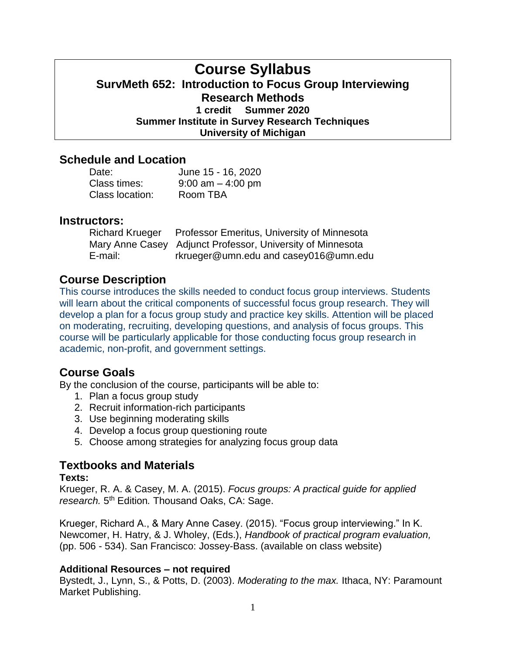# **Course Syllabus SurvMeth 652: Introduction to Focus Group Interviewing Research Methods 1 credit Summer 2020 Summer Institute in Survey Research Techniques University of Michigan**

## **Schedule and Location**

| Date:           | June 15 - 16, 2020   |
|-----------------|----------------------|
| Class times:    | $9:00$ am $-4:00$ pm |
| Class location: | Room TBA             |

### **Instructors:**

| <b>Richard Krueger</b> | Professor Emeritus, University of Minnesota                |
|------------------------|------------------------------------------------------------|
|                        | Mary Anne Casey Adjunct Professor, University of Minnesota |
| E-mail:                | rkrueger@umn.edu and casey016@umn.edu                      |

# **Course Description**

This course introduces the skills needed to conduct focus group interviews. Students will learn about the critical components of successful focus group research. They will develop a plan for a focus group study and practice key skills. Attention will be placed on moderating, recruiting, developing questions, and analysis of focus groups. This course will be particularly applicable for those conducting focus group research in academic, non-profit, and government settings.

## **Course Goals**

By the conclusion of the course, participants will be able to:

- 1. Plan a focus group study
- 2. Recruit information-rich participants
- 3. Use beginning moderating skills
- 4. Develop a focus group questioning route
- 5. Choose among strategies for analyzing focus group data

### **Textbooks and Materials**

#### **Texts:**

Krueger, R. A. & Casey, M. A. (2015). *Focus groups: A practical guide for applied*  research. 5<sup>th</sup> Edition. Thousand Oaks, CA: Sage.

Krueger, Richard A., & Mary Anne Casey. (2015). "Focus group interviewing." In K. Newcomer, H. Hatry, & J. Wholey, (Eds.), *Handbook of practical program evaluation,* (pp. 506 - 534). San Francisco: Jossey-Bass. (available on class website)

### **Additional Resources – not required**

Bystedt, J., Lynn, S., & Potts, D. (2003). *Moderating to the max.* Ithaca, NY: Paramount Market Publishing.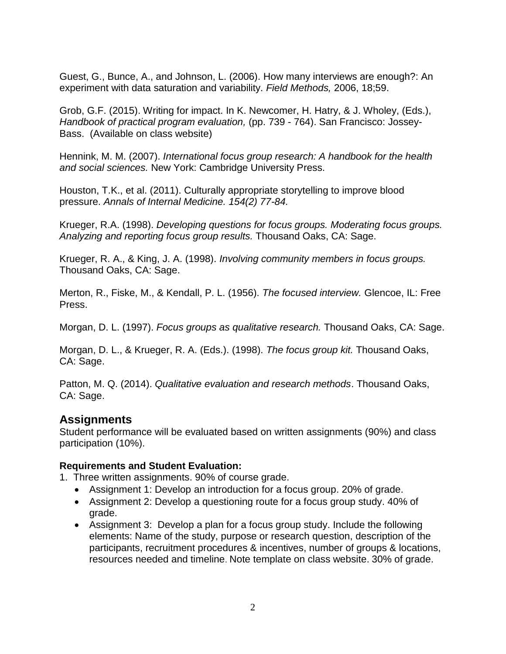Guest, G., Bunce, A., and Johnson, L. (2006). How many interviews are enough?: An experiment with data saturation and variability. *Field Methods,* 2006, 18;59.

Grob, G.F. (2015). Writing for impact. In K. Newcomer, H. Hatry, & J. Wholey, (Eds.), *Handbook of practical program evaluation,* (pp. 739 - 764). San Francisco: Jossey-Bass. (Available on class website)

Hennink, M. M. (2007). *International focus group research: A handbook for the health and social sciences.* New York: Cambridge University Press.

Houston, T.K., et al. (2011). Culturally appropriate storytelling to improve blood pressure. *Annals of Internal Medicine. 154(2) 77-84.*

Krueger, R.A. (1998). *Developing questions for focus groups. Moderating focus groups. Analyzing and reporting focus group results.* Thousand Oaks, CA: Sage.

Krueger, R. A., & King, J. A. (1998). *Involving community members in focus groups.* Thousand Oaks, CA: Sage.

Merton, R., Fiske, M., & Kendall, P. L. (1956). *The focused interview.* Glencoe, IL: Free Press.

Morgan, D. L. (1997). *Focus groups as qualitative research.* Thousand Oaks, CA: Sage.

Morgan, D. L., & Krueger, R. A. (Eds.). (1998). *The focus group kit.* Thousand Oaks, CA: Sage.

Patton, M. Q. (2014). *Qualitative evaluation and research methods*. Thousand Oaks, CA: Sage.

## **Assignments**

Student performance will be evaluated based on written assignments (90%) and class participation (10%).

### **Requirements and Student Evaluation:**

1. Three written assignments. 90% of course grade.

- Assignment 1: Develop an introduction for a focus group. 20% of grade.
- Assignment 2: Develop a questioning route for a focus group study. 40% of grade.
- Assignment 3: Develop a plan for a focus group study. Include the following elements: Name of the study, purpose or research question, description of the participants, recruitment procedures & incentives, number of groups & locations, resources needed and timeline. Note template on class website. 30% of grade.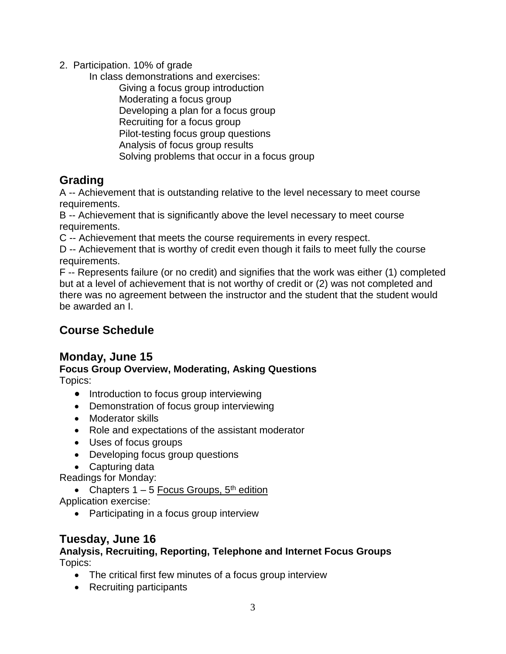2. Participation. 10% of grade

In class demonstrations and exercises:

Giving a focus group introduction Moderating a focus group Developing a plan for a focus group Recruiting for a focus group Pilot-testing focus group questions Analysis of focus group results Solving problems that occur in a focus group

# **Grading**

A -- Achievement that is outstanding relative to the level necessary to meet course requirements.

B -- Achievement that is significantly above the level necessary to meet course requirements.

C -- Achievement that meets the course requirements in every respect.

D -- Achievement that is worthy of credit even though it fails to meet fully the course requirements.

F -- Represents failure (or no credit) and signifies that the work was either (1) completed but at a level of achievement that is not worthy of credit or (2) was not completed and there was no agreement between the instructor and the student that the student would be awarded an I.

# **Course Schedule**

# **Monday, June 15**

## **Focus Group Overview, Moderating, Asking Questions** Topics:

- Introduction to focus group interviewing
- Demonstration of focus group interviewing
- Moderator skills
- Role and expectations of the assistant moderator
- Uses of focus groups
- Developing focus group questions
- Capturing data

Readings for Monday:

• Chapters  $1 - 5$  Focus Groups,  $5<sup>th</sup>$  edition

Application exercise:

• Participating in a focus group interview

# **Tuesday, June 16**

## **Analysis, Recruiting, Reporting, Telephone and Internet Focus Groups** Topics:

- The critical first few minutes of a focus group interview
- Recruiting participants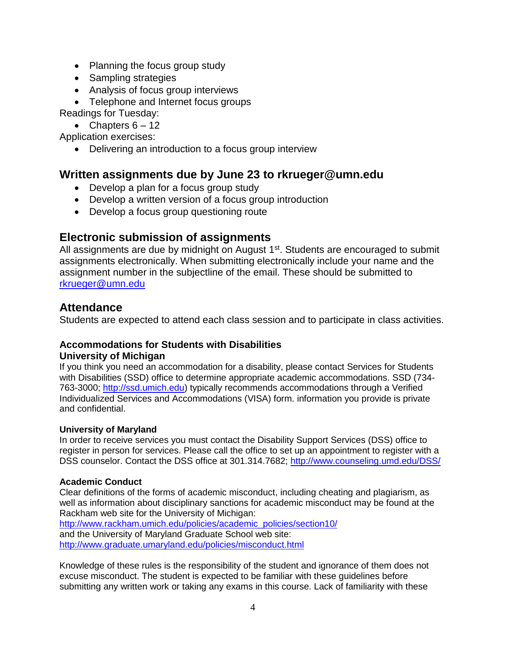- Planning the focus group study
- Sampling strategies
- Analysis of focus group interviews
- Telephone and Internet focus groups

Readings for Tuesday:

• Chapters  $6 - 12$ 

Application exercises:

Delivering an introduction to a focus group interview

## **Written assignments due by June 23 to rkrueger@umn.edu**

- Develop a plan for a focus group study
- Develop a written version of a focus group introduction
- Develop a focus group questioning route

# **Electronic submission of assignments**

All assignments are due by midnight on August 1<sup>st</sup>. Students are encouraged to submit assignments electronically. When submitting electronically include your name and the assignment number in the subjectline of the email. These should be submitted to [rkrueger@umn.edu](mailto:rkrueger@umn.edu)

## **Attendance**

Students are expected to attend each class session and to participate in class activities.

### **Accommodations for Students with Disabilities University of Michigan**

If you think you need an accommodation for a disability, please contact Services for Students with Disabilities (SSD) office to determine appropriate academic accommodations. SSD (734- 763-3000; [http://ssd.umich.edu\)](http://ssd.umich.edu/) typically recommends accommodations through a Verified Individualized Services and Accommodations (VISA) form. information you provide is private and confidential.

### **University of Maryland**

In order to receive services you must contact the Disability Support Services (DSS) office to register in person for services. Please call the office to set up an appointment to register with a DSS counselor. Contact the DSS office at 301.314.7682;<http://www.counseling.umd.edu/DSS/>

#### **Academic Conduct**

Clear definitions of the forms of academic misconduct, including cheating and plagiarism, as well as information about disciplinary sanctions for academic misconduct may be found at the Rackham web site for the University of Michigan:

http://www.rackham.umich.edu/policies/academic\_policies/section10/ and the University of Maryland Graduate School web site:

<http://www.graduate.umaryland.edu/policies/misconduct.html>

Knowledge of these rules is the responsibility of the student and ignorance of them does not excuse misconduct. The student is expected to be familiar with these guidelines before submitting any written work or taking any exams in this course. Lack of familiarity with these